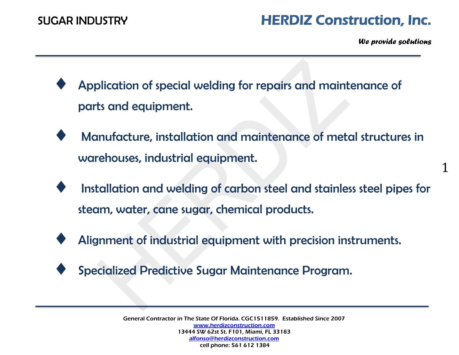*We provide solutions*

- Application of special welding for repairs and maintenance of parts and equipment.
- Manufacture, installation and maintenance of metal structures in warehouses, industrial equipment.
- Installation and welding of carbon steel and stainless steel pipes for steam, water, cane sugar, chemical products.
- Alignment of industrial equipment with precision instruments.
- Specialized Predictive Sugar Maintenance Program.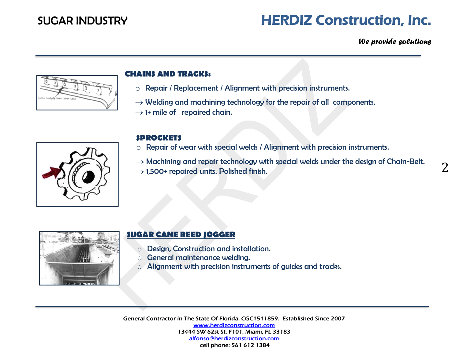*We provide solutions*



## **CHAINS AND TRACKS:**

- o Repair / Replacement / Alignment with precision instruments.
- $\rightarrow$  Welding and machining technology for the repair of all components,
- $\rightarrow$  1+ mile of repaired chain.



## **SPROCKETS**

- o Repair of wear with special welds / Alignment with precision instruments.
- $\rightarrow$  Machining and repair technology with special welds under the design of Chain-Belt.
- $\rightarrow$  1,500+ repaired units. Polished finish.



## **SUGAR CANE REED JOGGER**

- o Design, Construction and installation.
- o General maintenance welding.
- o Alignment with precision instruments of guides and tracks.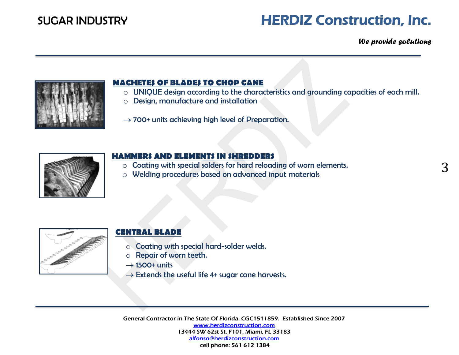*We provide solutions*



### **MACHETES OF BLADES TO CHOP CANE**

- o UNIQUE design according to the characteristics and grounding capacities of each mill.
- o Design, manufacture and installation
- $\rightarrow$  700+ units achieving high level of Preparation.



### **HAMMERS AND ELEMENTS IN SHREDDERS**

- o Coating with special solders for hard reloading of worn elements.
- o Welding procedures based on advanced input materials



## **CENTRAL BLADE**

- o Coating with special hard-solder welds.
- o Repair of worn teeth.
- $\rightarrow$  1500+ units
- $\rightarrow$  Extends the useful life 4+ sugar cane harvests.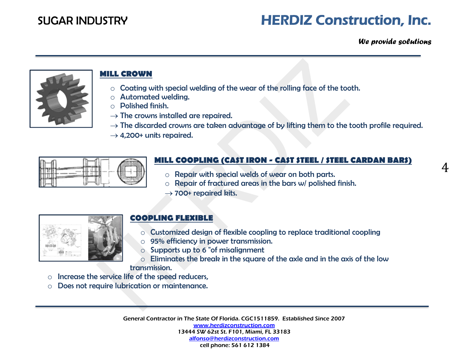*We provide solutions*



# **MILL CROWN**

- o Coating with special welding of the wear of the rolling face of the tooth.
- o Automated welding.
- o Polished finish.
- $\rightarrow$  The crowns installed are repaired.
- $\rightarrow$  The discarded crowns are taken advantage of by lifting them to the tooth profile required.
- $\rightarrow$  4,200+ units repaired.



# **MILL COOPLING (CAST IRON - CAST STEEL / STEEL CARDAN BARS)**

- o Repair with special welds of wear on both parts.
- $\circ$  Repair of fractured areas in the bars w/ polished finish.
- $\rightarrow$  700+ repaired kits.



## **COOPLING FLEXIBLE**

- o Customized design of flexible coopling to replace traditional coopling
- o 95% efficiency in power transmission.
- o Supports up to 6 "of misalignment
- o Eliminates the break in the square of the axle and in the axis of the low transmission.
- o Increase the service life of the speed reducers,
- o Does not require lubrication or maintenance.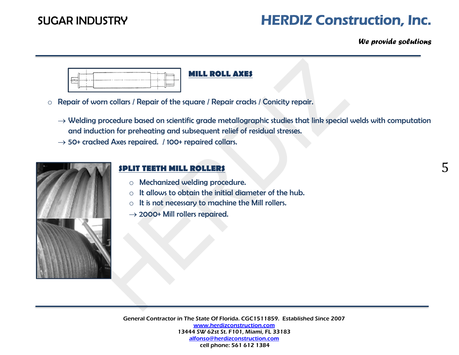*We provide solutions*

|  | <b>MILL ROLL AXES</b> |
|--|-----------------------|
|--|-----------------------|

- o Repair of worn collars / Repair of the square / Repair cracks / Conicity repair.
	- $\rightarrow$  Welding procedure based on scientific grade metallographic studies that link special welds with computation and induction for preheating and subsequent relief of residual stresses.
	- $\rightarrow$  50+ cracked Axes repaired. / 100+ repaired collars.



## **SPLIT TEETH MILL ROLLERS**

- o Mechanized welding procedure.
- o It allows to obtain the initial diameter of the hub.
- o It is not necessary to machine the Mill rollers.
- $\rightarrow$  2000+ Mill rollers repaired.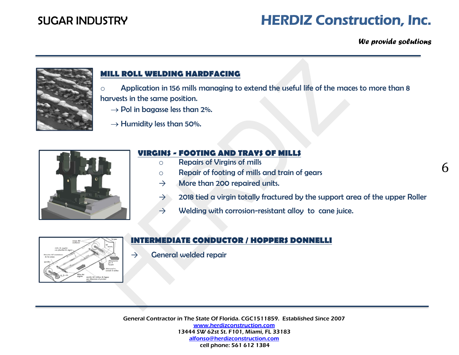*We provide solutions*

6



### **MILL ROLL WELDING HARDFACING**

 $\circ$  Application in 156 mills managing to extend the useful life of the maces to more than 8 harvests in the same position.

- $\rightarrow$  Pol in bagasse less than 2%.
- $\rightarrow$  Humidity less than 50%.



### **VIRGINS - FOOTING AND TRAYS OF MILLS**

- o Repairs of Virgins of mills
- o Repair of footing of mills and train of gears
- $\rightarrow$  More than 200 repaired units.
- $\rightarrow$  2018 tied a virgin totally fractured by the support area of the upper Roller
- $\rightarrow$  Welding with corrosion-resistant alloy to cane juice.



## **INTERMEDIATE CONDUCTOR / HOPPERS DONNELLI**

 $\rightarrow$  General welded repair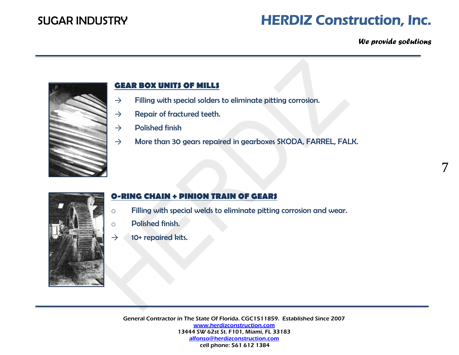### *We provide solutions*

7



### **GEAR BOX UNITS OF MILLS**

- $\rightarrow$  Filling with special solders to eliminate pitting corrosion.
- $\rightarrow$  Repair of fractured teeth.
- $\rightarrow$  Polished finish
- $\rightarrow$  More than 30 gears repaired in gearboxes SKODA, FARREL, FALK.



### **O-RING CHAIN + PINION TRAIN OF GEARS**

- o Filling with special welds to eliminate pitting corrosion and wear.
- o Polished finish.
- $\rightarrow$  10+ repaired kits.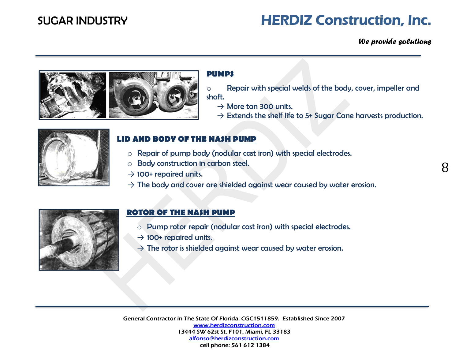*We provide solutions*



### **PUMPS**

- o Repair with special welds of the body, cover, impeller and shaft.
	- $\rightarrow$  More tan 300 units.
	- $\rightarrow$  Extends the shelf life to 5+ Sugar Cane harvests production.



### **LID AND BODY OF THE NASH PUMP**

- o Repair of pump body (nodular cast iron) with special electrodes.
- o Body construction in carbon steel.
- $\rightarrow$  100+ repaired units.
- $\rightarrow$  The body and cover are shielded against wear caused by water erosion.



### **ROTOR OF THE NASH PUMP**

- o Pump rotor repair (nodular cast iron) with special electrodes.
- $\rightarrow$  100+ repaired units.
- $\rightarrow$  The rotor is shielded against wear caused by water erosion.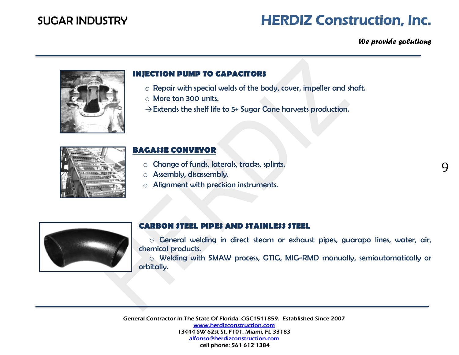*We provide solutions*

9



### **INJECTION PUMP TO CAPACITORS**

- o Repair with special welds of the body, cover, impeller and shaft.
- o More tan 300 units.
- $\rightarrow$  Extends the shelf life to 5+ Sugar Cane harvests production.



### **BAGASSE CONVEYOR**

- o Change of funds, laterals, tracks, splints.
- o Assembly, disassembly.
- o Alignment with precision instruments.



## **CARBON STEEL PIPES AND STAINLESS STEEL**

o General welding in direct steam or exhaust pipes, guarapo lines, water, air, chemical products.

o Welding with SMAW process, GTIG, MIG-RMD manually, semiautomatically or orbitally.